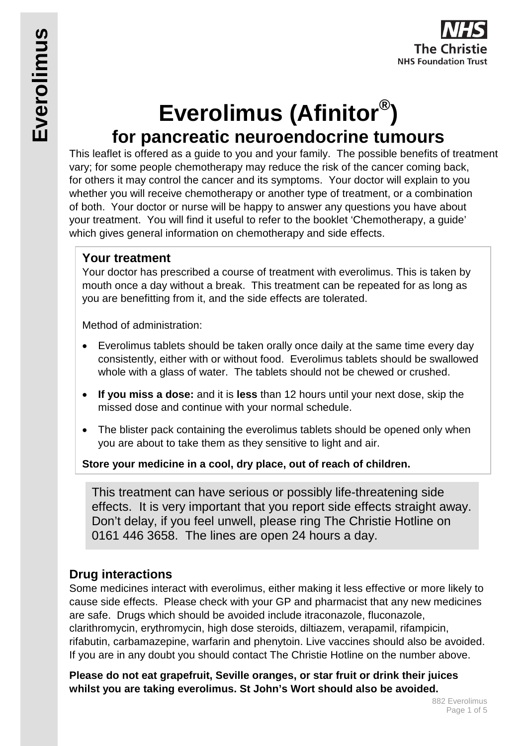

# **Everolimus (Afinitor®) for pancreatic neuroendocrine tumours**

This leaflet is offered as a guide to you and your family. The possible benefits of treatment vary; for some people chemotherapy may reduce the risk of the cancer coming back, for others it may control the cancer and its symptoms. Your doctor will explain to you whether you will receive chemotherapy or another type of treatment, or a combination of both. Your doctor or nurse will be happy to answer any questions you have about your treatment. You will find it useful to refer to the booklet 'Chemotherapy, a guide' which gives general information on chemotherapy and side effects.

### **Your treatment**

Your doctor has prescribed a course of treatment with everolimus. This is taken by mouth once a day without a break. This treatment can be repeated for as long as you are benefitting from it, and the side effects are tolerated.

Method of administration:

- Everolimus tablets should be taken orally once daily at the same time every day consistently, either with or without food. Everolimus tablets should be swallowed whole with a glass of water. The tablets should not be chewed or crushed.
- **If you miss a dose:** and it is **less** than 12 hours until your next dose, skip the missed dose and continue with your normal schedule.
- The blister pack containing the everolimus tablets should be opened only when you are about to take them as they sensitive to light and air.

**Store your medicine in a cool, dry place, out of reach of children.**

This treatment can have serious or possibly life-threatening side effects. It is very important that you report side effects straight away. Don't delay, if you feel unwell, please ring The Christie Hotline on 0161 446 3658. The lines are open 24 hours a day.

## **Drug interactions**

Some medicines interact with everolimus, either making it less effective or more likely to cause side effects. Please check with your GP and pharmacist that any new medicines are safe. Drugs which should be avoided include itraconazole, fluconazole, clarithromycin, erythromycin, high dose steroids, diltiazem, verapamil, rifampicin, rifabutin, carbamazepine, warfarin and phenytoin. Live vaccines should also be avoided. If you are in any doubt you should contact The Christie Hotline on the number above.

**Please do not eat grapefruit, Seville oranges, or star fruit or drink their juices whilst you are taking everolimus. St John's Wort should also be avoided.**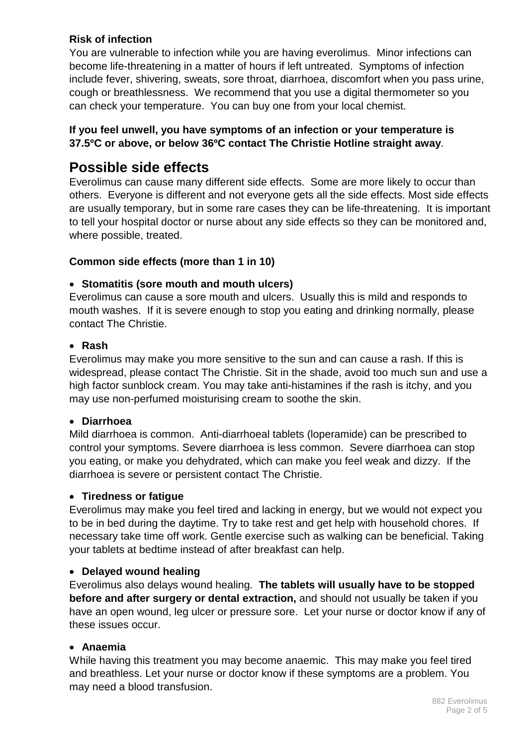#### **Risk of infection**

You are vulnerable to infection while you are having everolimus. Minor infections can become life-threatening in a matter of hours if left untreated. Symptoms of infection include fever, shivering, sweats, sore throat, diarrhoea, discomfort when you pass urine, cough or breathlessness. We recommend that you use a digital thermometer so you can check your temperature. You can buy one from your local chemist.

#### **If you feel unwell, you have symptoms of an infection or your temperature is 37.5ºC or above, or below 36ºC contact The Christie Hotline straight away**.

# **Possible side effects**

Everolimus can cause many different side effects. Some are more likely to occur than others. Everyone is different and not everyone gets all the side effects. Most side effects are usually temporary, but in some rare cases they can be life-threatening. It is important to tell your hospital doctor or nurse about any side effects so they can be monitored and, where possible, treated.

#### **Common side effects (more than 1 in 10)**

#### • **Stomatitis (sore mouth and mouth ulcers)**

Everolimus can cause a sore mouth and ulcers. Usually this is mild and responds to mouth washes. If it is severe enough to stop you eating and drinking normally, please contact The Christie.

#### • **Rash**

Everolimus may make you more sensitive to the sun and can cause a rash. If this is widespread, please contact The Christie. Sit in the shade, avoid too much sun and use a high factor sunblock cream. You may take anti-histamines if the rash is itchy, and you may use non-perfumed moisturising cream to soothe the skin.

#### • **Diarrhoea**

Mild diarrhoea is common. Anti-diarrhoeal tablets (loperamide) can be prescribed to control your symptoms. Severe diarrhoea is less common. Severe diarrhoea can stop you eating, or make you dehydrated, which can make you feel weak and dizzy. If the diarrhoea is severe or persistent contact The Christie.

#### • **Tiredness or fatigue**

Everolimus may make you feel tired and lacking in energy, but we would not expect you to be in bed during the daytime. Try to take rest and get help with household chores. If necessary take time off work. Gentle exercise such as walking can be beneficial. Taking your tablets at bedtime instead of after breakfast can help.

#### • **Delayed wound healing**

Everolimus also delays wound healing. **The tablets will usually have to be stopped before and after surgery or dental extraction,** and should not usually be taken if you have an open wound, leg ulcer or pressure sore. Let your nurse or doctor know if any of these issues occur.

#### • **Anaemia**

While having this treatment you may become anaemic. This may make you feel tired and breathless. Let your nurse or doctor know if these symptoms are a problem. You may need a blood transfusion.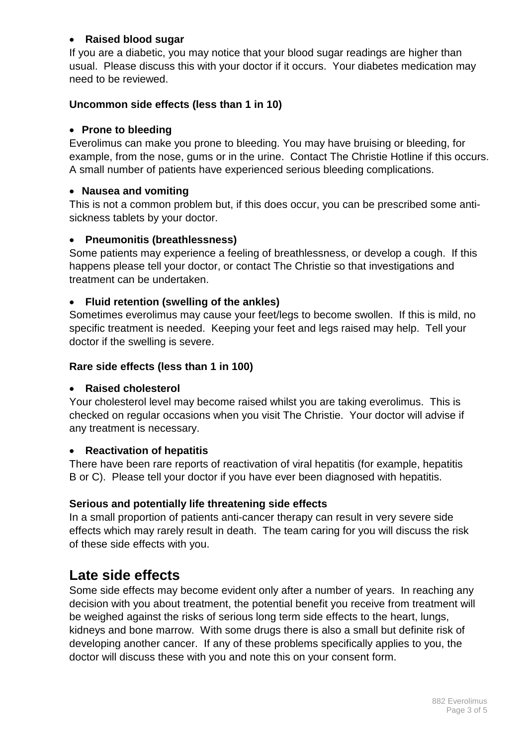#### • **Raised blood sugar**

If you are a diabetic, you may notice that your blood sugar readings are higher than usual. Please discuss this with your doctor if it occurs. Your diabetes medication may need to be reviewed.

#### **Uncommon side effects (less than 1 in 10)**

#### • **Prone to bleeding**

Everolimus can make you prone to bleeding. You may have bruising or bleeding, for example, from the nose, gums or in the urine. Contact The Christie Hotline if this occurs. A small number of patients have experienced serious bleeding complications.

#### • **Nausea and vomiting**

This is not a common problem but, if this does occur, you can be prescribed some antisickness tablets by your doctor.

#### • **Pneumonitis (breathlessness)**

Some patients may experience a feeling of breathlessness, or develop a cough. If this happens please tell your doctor, or contact The Christie so that investigations and treatment can be undertaken.

#### • **Fluid retention (swelling of the ankles)**

Sometimes everolimus may cause your feet/legs to become swollen. If this is mild, no specific treatment is needed. Keeping your feet and legs raised may help. Tell your doctor if the swelling is severe.

#### **Rare side effects (less than 1 in 100)**

#### • **Raised cholesterol**

Your cholesterol level may become raised whilst you are taking everolimus. This is checked on regular occasions when you visit The Christie. Your doctor will advise if any treatment is necessary.

#### • **Reactivation of hepatitis**

There have been rare reports of reactivation of viral hepatitis (for example, hepatitis B or C). Please tell your doctor if you have ever been diagnosed with hepatitis.

#### **Serious and potentially life threatening side effects**

In a small proportion of patients anti-cancer therapy can result in very severe side effects which may rarely result in death. The team caring for you will discuss the risk of these side effects with you.

## **Late side effects**

Some side effects may become evident only after a number of years. In reaching any decision with you about treatment, the potential benefit you receive from treatment will be weighed against the risks of serious long term side effects to the heart, lungs, kidneys and bone marrow. With some drugs there is also a small but definite risk of developing another cancer. If any of these problems specifically applies to you, the doctor will discuss these with you and note this on your consent form.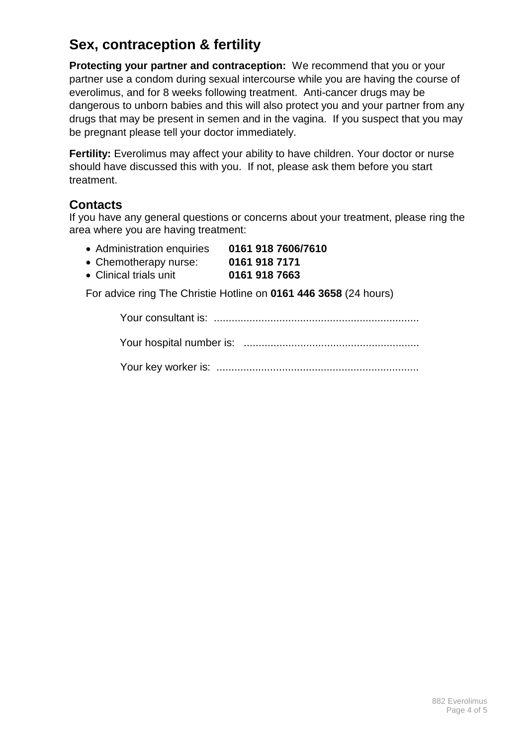# **Sex, contraception & fertility**

**Protecting your partner and contraception:** We recommend that you or your partner use a condom during sexual intercourse while you are having the course of everolimus, and for 8 weeks following treatment. Anti-cancer drugs may be dangerous to unborn babies and this will also protect you and your partner from any drugs that may be present in semen and in the vagina. If you suspect that you may be pregnant please tell your doctor immediately.

**Fertility:** Everolimus may affect your ability to have children. Your doctor or nurse should have discussed this with you. If not, please ask them before you start treatment.

#### **Contacts**

If you have any general questions or concerns about your treatment, please ring the area where you are having treatment:

- Administration enquiries **0161 918 7606/7610**
- Chemotherapy nurse: **0161 918 7171**
- Clinical trials unit **0161 918 7663**

For advice ring The Christie Hotline on **0161 446 3658** (24 hours)

Your consultant is: ..................................................................... Your hospital number is: ...........................................................

Your key worker is: ....................................................................